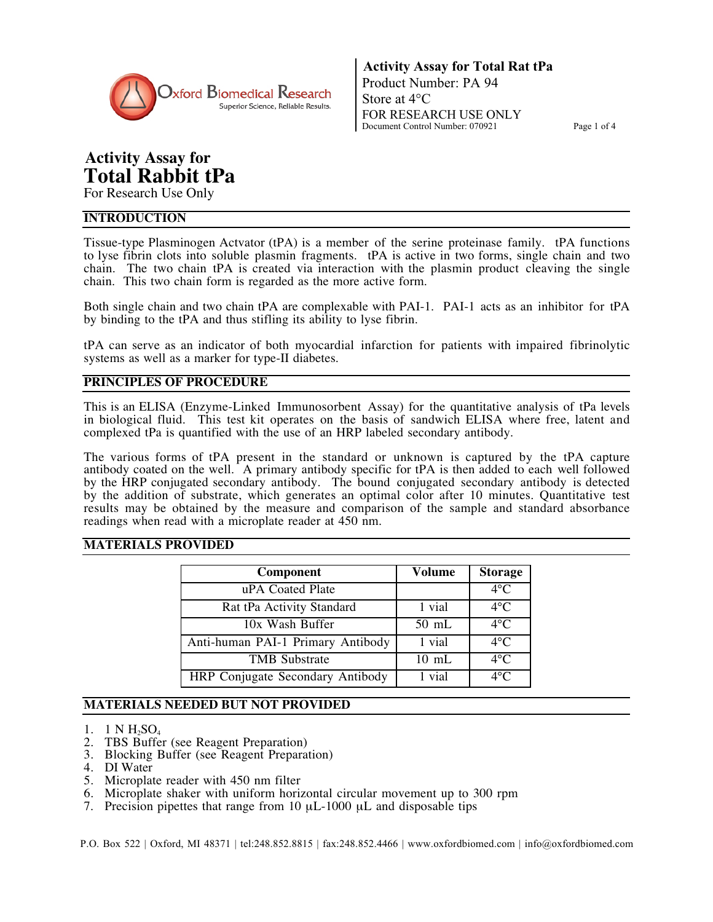

**Activity Assay for Total Rat tPa** Product Number: PA 94 Store at 4°C FOR RESEARCH USE ONLY Document Control Number: 070921 Page 1 of 4

# **Activity Assay for Total Rabbit tPa**

For Research Use Only

## **INTRODUCTION**

Tissue-type Plasminogen Actvator (tPA) is a member of the serine proteinase family. tPA functions to lyse fibrin clots into soluble plasmin fragments. tPA is active in two forms, single chain and two chain. The two chain tPA is created via interaction with the plasmin product cleaving the single chain. This two chain form is regarded as the more active form.

Both single chain and two chain tPA are complexable with PAI-1. PAI-1 acts as an inhibitor for tPA by binding to the tPA and thus stifling its ability to lyse fibrin.

tPA can serve as an indicator of both myocardial infarction for patients with impaired fibrinolytic systems as well as a marker for type-II diabetes.

# **PRINCIPLES OF PROCEDURE**

This is an ELISA (Enzyme-Linked Immunosorbent Assay) for the quantitative analysis of tPa levels in biological fluid. This test kit operates on the basis of sandwich ELISA where free, latent and complexed tPa is quantified with the use of an HRP labeled secondary antibody.

The various forms of tPA present in the standard or unknown is captured by the tPA capture antibody coated on the well. A primary antibody specific for tPA is then added to each well followed by the HRP conjugated secondary antibody. The bound conjugated secondary antibody is detected by the addition of substrate, which generates an optimal color after 10 minutes. Quantitative test results may be obtained by the measure and comparison of the sample and standard absorbance readings when read with a microplate reader at 450 nm.

## **MATERIALS PROVIDED**

| Component                         | Volume          | <b>Storage</b> |
|-----------------------------------|-----------------|----------------|
| uPA Coated Plate                  |                 | $4^{\circ}C$   |
| Rat tPa Activity Standard         | 1 vial          | $4^{\circ}C$   |
| 10x Wash Buffer                   | $50 \text{ mL}$ | $4^{\circ}$ C  |
| Anti-human PAI-1 Primary Antibody | 1 vial          | $4^{\circ}$ C  |
| <b>TMB</b> Substrate              | $10 \text{ mL}$ | $4^{\circ}C$   |
| HRP Conjugate Secondary Antibody  | 1 vial          | $4^{\circ}$ C  |

# **MATERIALS NEEDED BUT NOT PROVIDED**

- 1. 1 N  $H_2SO_4$
- 2. TBS Buffer (see Reagent Preparation)
- 3. Blocking Buffer (see Reagent Preparation)
- 4. DI Water
- 5. Microplate reader with 450 nm filter
- 6. Microplate shaker with uniform horizontal circular movement up to 300 rpm
- 7. Precision pipettes that range from 10 µL-1000 µL and disposable tips

P.O. Box 522 | Oxford, MI 48371 | tel:248.852.8815 | fax:248.852.4466 | www.oxfordbiomed.com | info@oxfordbiomed.com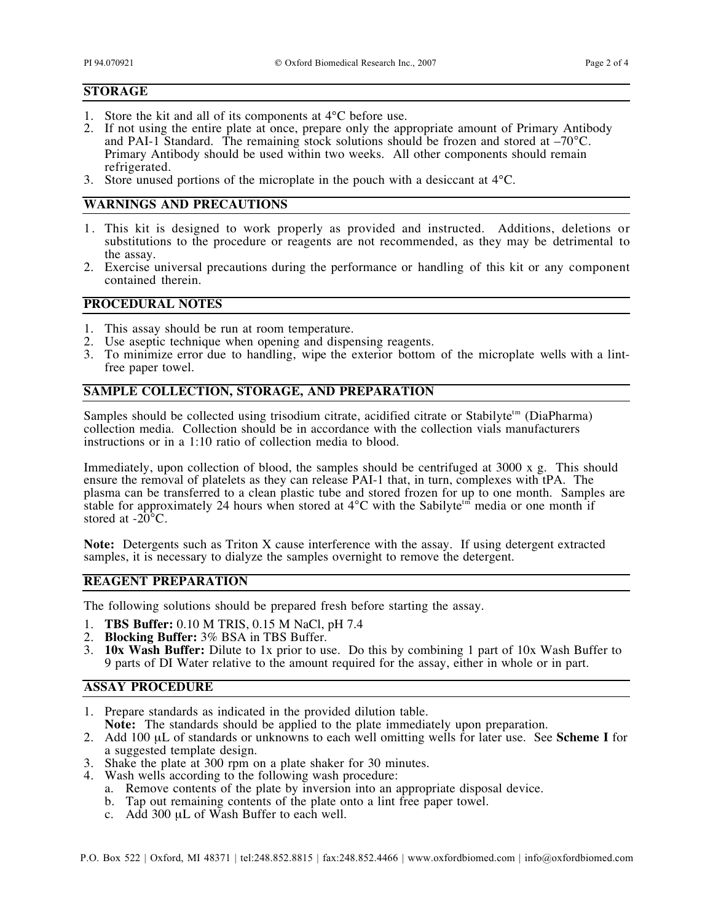#### **STORAGE**

- 1. Store the kit and all of its components at 4°C before use.
- 2. If not using the entire plate at once, prepare only the appropriate amount of Primary Antibody and PAI-1 Standard. The remaining stock solutions should be frozen and stored at  $-70^{\circ}$ C. Primary Antibody should be used within two weeks. All other components should remain refrigerated.
- 3. Store unused portions of the microplate in the pouch with a desiccant at 4°C.

# **WARNINGS AND PRECAUTIONS**

- 1. This kit is designed to work properly as provided and instructed. Additions, deletions or substitutions to the procedure or reagents are not recommended, as they may be detrimental to the assay.
- 2. Exercise universal precautions during the performance or handling of this kit or any component contained therein.

#### **PROCEDURAL NOTES**

- 1. This assay should be run at room temperature.
- 2. Use aseptic technique when opening and dispensing reagents.
- 3. To minimize error due to handling, wipe the exterior bottom of the microplate wells with a lintfree paper towel.

## **SAMPLE COLLECTION, STORAGE, AND PREPARATION**

Samples should be collected using trisodium citrate, acidified citrate or Stabilyte<sup>tm</sup> (DiaPharma) collection media. Collection should be in accordance with the collection vials manufacturers instructions or in a 1:10 ratio of collection media to blood.

Immediately, upon collection of blood, the samples should be centrifuged at 3000 x g. This should ensure the removal of platelets as they can release PAI-1 that, in turn, complexes with tPA. The plasma can be transferred to a clean plastic tube and stored frozen for up to one month. Samples are stable for approximately 24 hours when stored at  $4^{\circ}$ C with the Sabilyte<sup>th</sup> media or one month if stored at  $-20^{\circ}$ C.

**Note:** Detergents such as Triton X cause interference with the assay. If using detergent extracted samples, it is necessary to dialyze the samples overnight to remove the detergent.

## **REAGENT PREPARATION**

The following solutions should be prepared fresh before starting the assay.

- 1. **TBS Buffer:** 0.10 M TRIS, 0.15 M NaCl, pH 7.4
- 2. **Blocking Buffer:** 3% BSA in TBS Buffer.
- 3. **10x Wash Buffer:** Dilute to 1x prior to use. Do this by combining 1 part of 10x Wash Buffer to 9 parts of DI Water relative to the amount required for the assay, either in whole or in part.

#### **ASSAY PROCEDURE**

- 1. Prepare standards as indicated in the provided dilution table.
- **Note:** The standards should be applied to the plate immediately upon preparation.
- 2. Add 100 µL of standards or unknowns to each well omitting wells for later use. See **Scheme I** for a suggested template design.
- 3. Shake the plate at 300 rpm on a plate shaker for 30 minutes.
- 4. Wash wells according to the following wash procedure:
	- a. Remove contents of the plate by inversion into an appropriate disposal device.
	- b. Tap out remaining contents of the plate onto a lint free paper towel.
	- c. Add 300 µL of Wash Buffer to each well.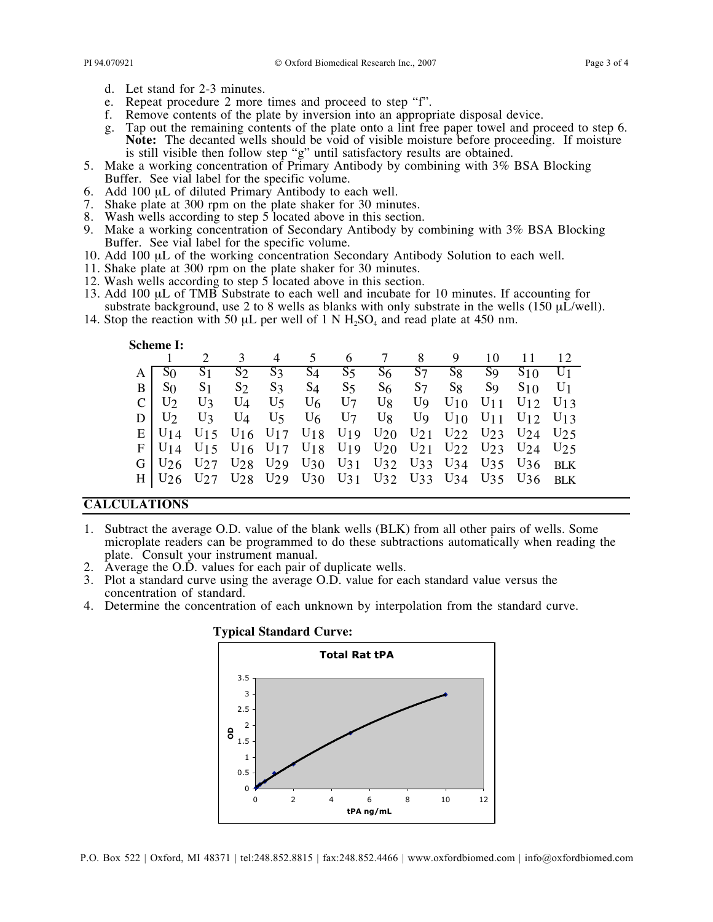- d. Let stand for 2-3 minutes.
- e. Repeat procedure 2 more times and proceed to step "f".
- f. Remove contents of the plate by inversion into an appropriate disposal device.
- g. Tap out the remaining contents of the plate onto a lint free paper towel and proceed to step 6. **Note:** The decanted wells should be void of visible moisture before proceeding. If moisture is still visible then follow step "g" until satisfactory results are obtained.
- 5. Make a working concentration of Primary Antibody by combining with 3% BSA Blocking Buffer. See vial label for the specific volume.
- 6. Add 100 µL of diluted Primary Antibody to each well.
- 7. Shake plate at 300 rpm on the plate shaker for 30 minutes.
- 8. Wash wells according to step 5 located above in this section.
- 9. Make a working concentration of Secondary Antibody by combining with 3% BSA Blocking Buffer. See vial label for the specific volume.
- 10. Add 100 µL of the working concentration Secondary Antibody Solution to each well.
- 11. Shake plate at 300 rpm on the plate shaker for 30 minutes.
- 12. Wash wells according to step 5 located above in this section.
- 13. Add 100 µL of TMB Substrate to each well and incubate for 10 minutes. If accounting for substrate background, use 2 to 8 wells as blanks with only substrate in the wells (150  $\mu\text{L/well}$ ).
- 14. Stop the reaction with 50  $\mu$ L per well of 1 N H<sub>2</sub>SO<sub>4</sub> and read plate at 450 nm.

#### **Scheme I:**

|                    |  |  |  |  | 2 3 4 5 6 7 8 9 10 11 12                                                                                                                                                                  |  |
|--------------------|--|--|--|--|-------------------------------------------------------------------------------------------------------------------------------------------------------------------------------------------|--|
| $A \overline{S_0}$ |  |  |  |  | $S_1$ $S_2$ $S_3$ $S_4$ $S_5$ $S_6$ $S_7$ $S_8$ $S_9$ $S_{10}$ $U_1$                                                                                                                      |  |
|                    |  |  |  |  | $B   S_0 S_1 S_2 S_3 S_4 S_5 S_6 S_7 S_8 S_9 S_{10} U_1$                                                                                                                                  |  |
| $C$ U <sub>2</sub> |  |  |  |  | $U_3$ $U_4$ $U_5$ $U_6$ $U_7$ $U_8$ $U_9$ $U_{10}$ $U_{11}$ $U_{12}$ $U_{13}$                                                                                                             |  |
|                    |  |  |  |  | $D \mid U_2$ $U_3$ $U_4$ $U_5$ $U_6$ $U_7$ $U_8$ $U_9$ $U_{10}$ $U_{11}$ $U_{12}$ $U_{13}$                                                                                                |  |
|                    |  |  |  |  | $E U_1$ 4 U <sub>15</sub> U <sub>16</sub> U <sub>17</sub> U <sub>18</sub> U <sub>19</sub> U <sub>20</sub> U <sub>21</sub> U <sub>22</sub> U <sub>23</sub> U <sub>24</sub> U <sub>25</sub> |  |
|                    |  |  |  |  | $F U_{14} U_{15} U_{16} U_{17} U_{18} U_{19} U_{20} U_{21} U_{22} U_{23} U_{24} U_{25}$                                                                                                   |  |
|                    |  |  |  |  | G U <sub>26</sub> U <sub>27</sub> U <sub>28</sub> U <sub>29</sub> U <sub>30</sub> U <sub>31</sub> U <sub>32</sub> U <sub>33</sub> U <sub>34</sub> U <sub>35</sub> U <sub>36</sub> BLK     |  |
|                    |  |  |  |  | H U <sub>26</sub> U <sub>27</sub> U <sub>28</sub> U <sub>29</sub> U <sub>30</sub> U <sub>31</sub> U <sub>32</sub> U <sub>33</sub> U <sub>34</sub> U <sub>35</sub> U <sub>36</sub> BLK     |  |

#### **CALCULATIONS**

- 1. Subtract the average O.D. value of the blank wells (BLK) from all other pairs of wells. Some microplate readers can be programmed to do these subtractions automatically when reading the plate. Consult your instrument manual.
- 2. Average the O.D. values for each pair of duplicate wells.
- 3. Plot a standard curve using the average O.D. value for each standard value versus the concentration of standard.
- 4. Determine the concentration of each unknown by interpolation from the standard curve.



#### **Typical Standard Curve:**